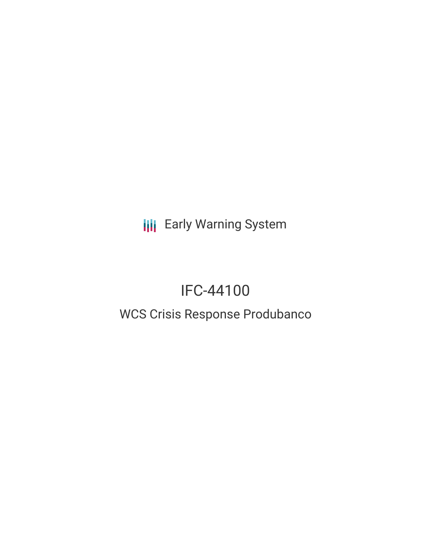**III** Early Warning System

# IFC-44100

# WCS Crisis Response Produbanco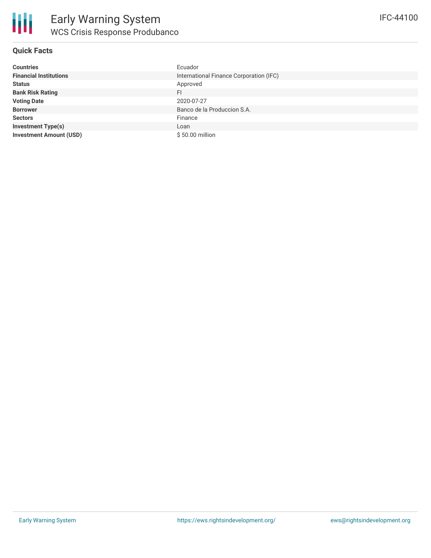

#### **Quick Facts**

| <b>Countries</b>               | Ecuador                                 |
|--------------------------------|-----------------------------------------|
| <b>Financial Institutions</b>  | International Finance Corporation (IFC) |
| <b>Status</b>                  | Approved                                |
| <b>Bank Risk Rating</b>        | <b>FI</b>                               |
| <b>Voting Date</b>             | 2020-07-27                              |
| <b>Borrower</b>                | Banco de la Produccion S.A.             |
| <b>Sectors</b>                 | Finance                                 |
| <b>Investment Type(s)</b>      | Loan                                    |
| <b>Investment Amount (USD)</b> | \$50.00 million                         |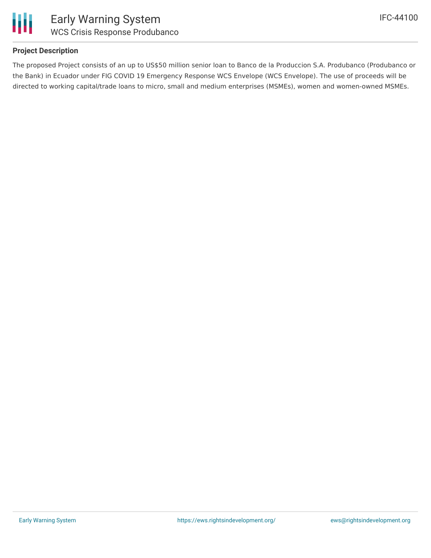

#### **Project Description**

The proposed Project consists of an up to US\$50 million senior loan to Banco de la Produccion S.A. Produbanco (Produbanco or the Bank) in Ecuador under FIG COVID 19 Emergency Response WCS Envelope (WCS Envelope). The use of proceeds will be directed to working capital/trade loans to micro, small and medium enterprises (MSMEs), women and women-owned MSMEs.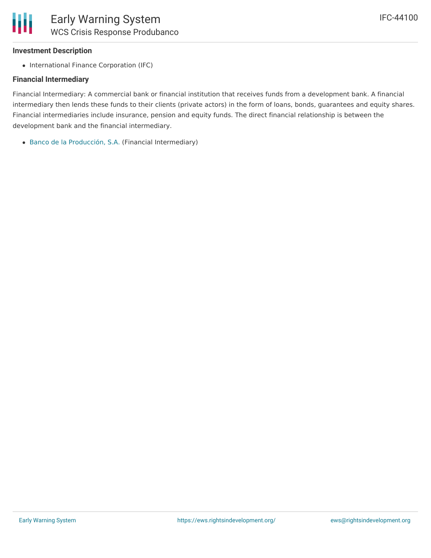### **Investment Description**

• International Finance Corporation (IFC)

## **Financial Intermediary**

Financial Intermediary: A commercial bank or financial institution that receives funds from a development bank. A financial intermediary then lends these funds to their clients (private actors) in the form of loans, bonds, guarantees and equity shares. Financial intermediaries include insurance, pension and equity funds. The direct financial relationship is between the development bank and the financial intermediary.

Banco de la [Producción,](file:///actor/214/) S.A. (Financial Intermediary)